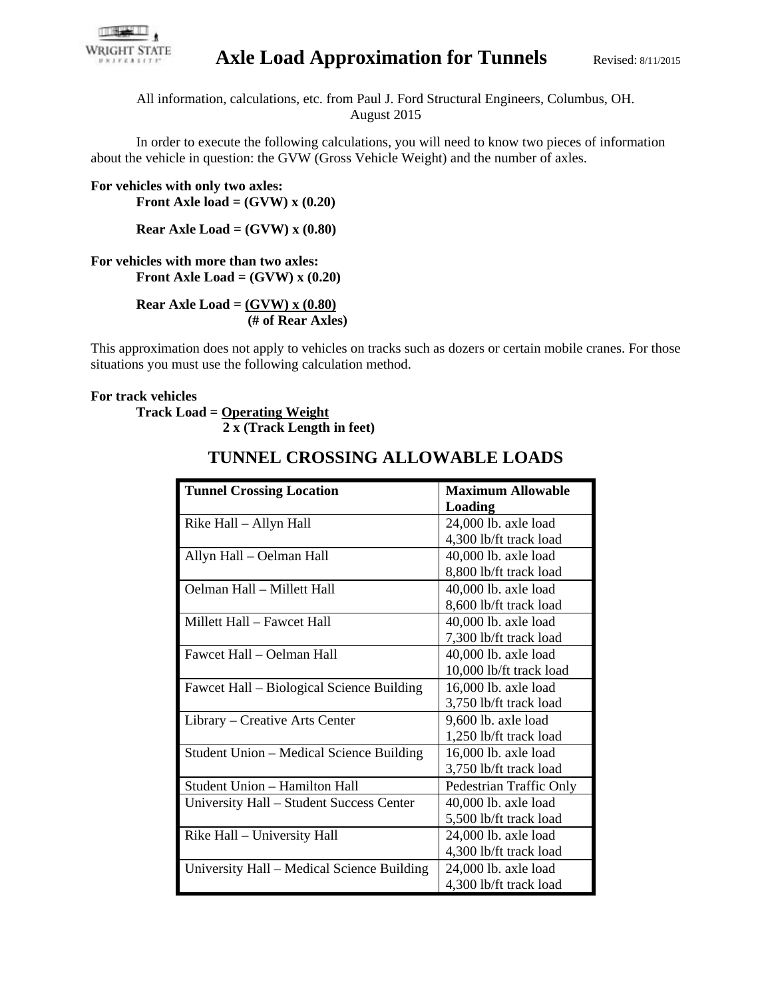

## Axle Load Approximation for Tunnels Revised: 8/11/2015

All information, calculations, etc. from Paul J. Ford Structural Engineers, Columbus, OH. August 2015

In order to execute the following calculations, you will need to know two pieces of information about the vehicle in question: the GVW (Gross Vehicle Weight) and the number of axles.

**For vehicles with only two axles: Front Axle load = (GVW) x (0.20)** 

**Rear Axle Load = (GVW) x (0.80)** 

**For vehicles with more than two axles: Front Axle Load = (GVW) x (0.20)** 

> **Rear Axle Load = (GVW) x (0.80) (# of Rear Axles)**

This approximation does not apply to vehicles on tracks such as dozers or certain mobile cranes. For those situations you must use the following calculation method.

## **For track vehicles**

**Track Load = Operating Weight 2 x (Track Length in feet)** 

| <b>Tunnel Crossing Location</b>            | <b>Maximum Allowable</b> |
|--------------------------------------------|--------------------------|
|                                            | Loading                  |
| Rike Hall - Allyn Hall                     | 24,000 lb. axle load     |
|                                            | 4,300 lb/ft track load   |
| Allyn Hall - Oelman Hall                   | 40,000 lb. axle load     |
|                                            | 8,800 lb/ft track load   |
| Oelman Hall - Millett Hall                 | 40,000 lb. axle load     |
|                                            | 8,600 lb/ft track load   |
| Millett Hall – Fawcet Hall                 | 40,000 lb. axle load     |
|                                            | 7,300 lb/ft track load   |
| Fawcet Hall – Oelman Hall                  | 40,000 lb. axle load     |
|                                            | 10,000 lb/ft track load  |
| Fawcet Hall – Biological Science Building  | 16,000 lb. axle load     |
|                                            | 3,750 lb/ft track load   |
| Library – Creative Arts Center             | 9,600 lb. axle load      |
|                                            | 1,250 lb/ft track load   |
| Student Union – Medical Science Building   | 16,000 lb. axle load     |
|                                            | 3,750 lb/ft track load   |
| Student Union - Hamilton Hall              | Pedestrian Traffic Only  |
| University Hall – Student Success Center   | 40,000 lb. axle load     |
|                                            | 5,500 lb/ft track load   |
| Rike Hall - University Hall                | 24,000 lb. axle load     |
|                                            | 4,300 lb/ft track load   |
| University Hall – Medical Science Building | 24,000 lb. axle load     |
|                                            | 4,300 lb/ft track load   |

## **TUNNEL CROSSING ALLOWABLE LOADS**